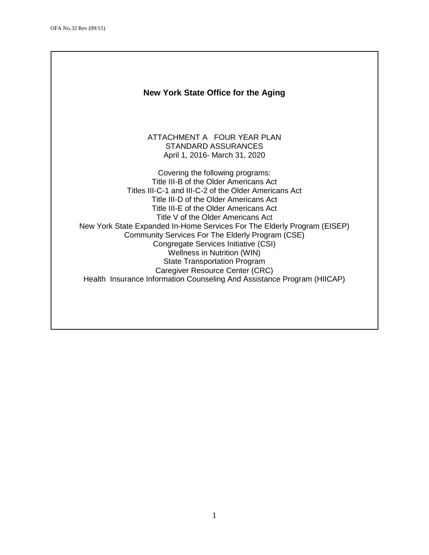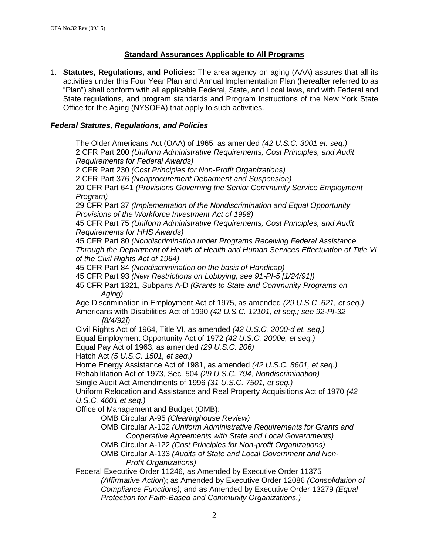# **Standard Assurances Applicable to All Programs**

1. **Statutes, Regulations, and Policies:** The area agency on aging (AAA) assures that all its activities under this Four Year Plan and Annual Implementation Plan (hereafter referred to as "Plan") shall conform with all applicable Federal, State, and Local laws, and with Federal and State regulations, and program standards and Program Instructions of the New York State Office for the Aging (NYSOFA) that apply to such activities.

### *Federal Statutes, Regulations, and Policies*

The Older Americans Act (OAA) of 1965, as amended *(42 U.S.C. 3001 et. seq.)* 2 CFR Part 200 *(Uniform Administrative Requirements, Cost Principles, and Audit Requirements for Federal Awards)* 2 CFR Part 230 *(Cost Principles for Non-Profit Organizations)* 2 CFR Part 376 *(Nonprocurement Debarment and Suspension)* 20 CFR Part 641 *(Provisions Governing the Senior Community Service Employment Program)* 29 CFR Part 37 *(Implementation of the Nondiscrimination and Equal Opportunity Provisions of the Workforce Investment Act of 1998)* 45 CFR Part 75 *(Uniform Administrative Requirements, Cost Principles, and Audit Requirements for HHS Awards)* 45 CFR Part 80 *(Nondiscrimination under Programs Receiving Federal Assistance Through the Department of Health of Health and Human Services Effectuation of Title VI of the Civil Rights Act of 1964)* 45 CFR Part 84 *(Nondiscrimination on the basis of Handicap)* 45 CFR Part 93 *(New Restrictions on Lobbying, see 91-PI-5 [1/24/91])* 45 CFR Part 1321, Subparts A-D *(Grants to State and Community Programs on Aging)* Age Discrimination in Employment Act of 1975, as amended *(29 U.S.C .621, et seq.)*  Americans with Disabilities Act of 1990 *(42 U.S.C. 12101, et seq.; see 92-PI-32 [8/4/92])* Civil Rights Act of 1964, Title VI, as amended *(42 U.S.C. 2000-d et. seq.)* Equal Employment Opportunity Act of 1972 *(42 U.S.C. 2000e, et seq.)* Equal Pay Act of 1963, as amended *(29 U.S.C. 206)* Hatch Act *(5 U.S.C. 1501, et seq.)* Home Energy Assistance Act of 1981, as amended *(42 U.S.C. 8601, et seq.)* Rehabilitation Act of 1973, Sec. 504 *(29 U.S.C. 794, Nondiscrimination)* Single Audit Act Amendments of 1996 *(31 U.S.C. 7501, et seq.)* Uniform Relocation and Assistance and Real Property Acquisitions Act of 1970 *(42 U.S.C. 4601 et seq.)* Office of Management and Budget (OMB): OMB Circular A-95 *(Clearinghouse Review)* OMB Circular A-102 *(Uniform Administrative Requirements for Grants and Cooperative Agreements with State and Local Governments)* OMB Circular A-122 *(Cost Principles for Non-profit Organizations)* OMB Circular A-133 *(Audits of State and Local Government and Non-Profit Organizations)* Federal Executive Order 11246, as Amended by Executive Order 11375 *(Affirmative Action*); as Amended by Executive Order 12086 *(Consolidation of Compliance Functions)*; and as Amended by Executive Order 13279 *(Equal Protection for Faith-Based and Community Organizations.)*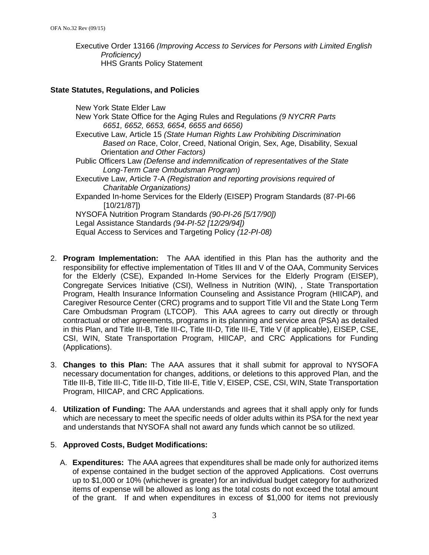Executive Order 13166 *(Improving Access to Services for Persons with Limited English Proficiency)* HHS Grants Policy Statement

#### **State Statutes, Regulations, and Policies**

New York State Elder Law New York State Office for the Aging Rules and Regulations *(9 NYCRR Parts 6651, 6652, 6653, 6654, 6655 and 6656)*  Executive Law, Article 15 *(State Human Rights Law Prohibiting Discrimination Based on* Race, Color, Creed, National Origin, Sex, Age, Disability, Sexual Orientation *and Other Factors)* Public Officers Law *(Defense and indemnification of representatives of the State Long-Term Care Ombudsman Program)* Executive Law, Article 7-A *(Registration and reporting provisions required of Charitable Organizations)* Expanded In-home Services for the Elderly (EISEP) Program Standards (87-PI-66 [10/21/87]) NYSOFA Nutrition Program Standards *(90-PI-26 [5/17/90])* Legal Assistance Standards *(94-PI-52 [12/29/94])* Equal Access to Services and Targeting Policy *(12-PI-08)*

- 2. **Program Implementation:** The AAA identified in this Plan has the authority and the responsibility for effective implementation of Titles III and V of the OAA, Community Services for the Elderly (CSE), Expanded In-Home Services for the Elderly Program (EISEP), Congregate Services Initiative (CSI), Wellness in Nutrition (WIN), , State Transportation Program, Health Insurance Information Counseling and Assistance Program (HIICAP), and Caregiver Resource Center (CRC) programs and to support Title VII and the State Long Term Care Ombudsman Program (LTCOP). This AAA agrees to carry out directly or through contractual or other agreements, programs in its planning and service area (PSA) as detailed in this Plan, and Title III-B, Title III-C, Title III-D, Title III-E, Title V (if applicable), EISEP, CSE, CSI, WIN, State Transportation Program, HIICAP, and CRC Applications for Funding (Applications).
- 3. **Changes to this Plan:** The AAA assures that it shall submit for approval to NYSOFA necessary documentation for changes, additions, or deletions to this approved Plan, and the Title III-B, Title III-C, Title III-D, Title III-E, Title V, EISEP, CSE, CSI, WIN, State Transportation Program, HIICAP, and CRC Applications.
- 4. **Utilization of Funding:** The AAA understands and agrees that it shall apply only for funds which are necessary to meet the specific needs of older adults within its PSA for the next year and understands that NYSOFA shall not award any funds which cannot be so utilized.

#### 5. **Approved Costs, Budget Modifications:**

A. **Expenditures:** The AAA agrees that expenditures shall be made only for authorized items of expense contained in the budget section of the approved Applications. Cost overruns up to \$1,000 or 10% (whichever is greater) for an individual budget category for authorized items of expense will be allowed as long as the total costs do not exceed the total amount of the grant. If and when expenditures in excess of \$1,000 for items not previously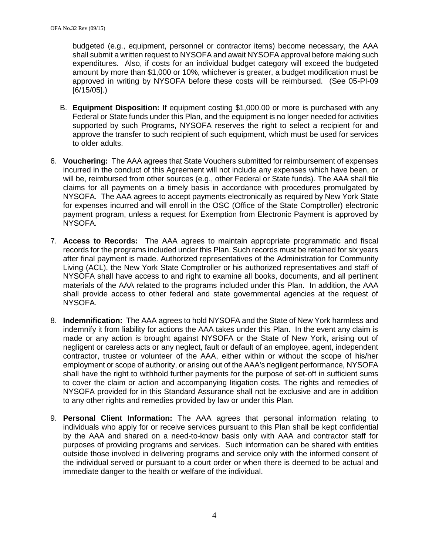budgeted (e.g., equipment, personnel or contractor items) become necessary, the AAA shall submit a written request to NYSOFA and await NYSOFA approval before making such expenditures. Also, if costs for an individual budget category will exceed the budgeted amount by more than \$1,000 or 10%, whichever is greater, a budget modification must be approved in writing by NYSOFA before these costs will be reimbursed. (See 05-PI-09 [6/15/05].)

- B. **Equipment Disposition:** If equipment costing \$1,000.00 or more is purchased with any Federal or State funds under this Plan, and the equipment is no longer needed for activities supported by such Programs, NYSOFA reserves the right to select a recipient for and approve the transfer to such recipient of such equipment, which must be used for services to older adults.
- 6. **Vouchering:** The AAA agrees that State Vouchers submitted for reimbursement of expenses incurred in the conduct of this Agreement will not include any expenses which have been, or will be, reimbursed from other sources (e.g., other Federal or State funds). The AAA shall file claims for all payments on a timely basis in accordance with procedures promulgated by NYSOFA. The AAA agrees to accept payments electronically as required by New York State for expenses incurred and will enroll in the OSC (Office of the State Comptroller) electronic payment program, unless a request for Exemption from Electronic Payment is approved by NYSOFA.
- 7. **Access to Records:** The AAA agrees to maintain appropriate programmatic and fiscal records for the programs included under this Plan. Such records must be retained for six years after final payment is made. Authorized representatives of the Administration for Community Living (ACL), the New York State Comptroller or his authorized representatives and staff of NYSOFA shall have access to and right to examine all books, documents, and all pertinent materials of the AAA related to the programs included under this Plan. In addition, the AAA shall provide access to other federal and state governmental agencies at the request of NYSOFA.
- 8. **Indemnification:** The AAA agrees to hold NYSOFA and the State of New York harmless and indemnify it from liability for actions the AAA takes under this Plan. In the event any claim is made or any action is brought against NYSOFA or the State of New York, arising out of negligent or careless acts or any neglect, fault or default of an employee, agent, independent contractor, trustee or volunteer of the AAA, either within or without the scope of his/her employment or scope of authority, or arising out of the AAA's negligent performance, NYSOFA shall have the right to withhold further payments for the purpose of set-off in sufficient sums to cover the claim or action and accompanying litigation costs. The rights and remedies of NYSOFA provided for in this Standard Assurance shall not be exclusive and are in addition to any other rights and remedies provided by law or under this Plan.
- 9. **Personal Client Information:** The AAA agrees that personal information relating to individuals who apply for or receive services pursuant to this Plan shall be kept confidential by the AAA and shared on a need-to-know basis only with AAA and contractor staff for purposes of providing programs and services. Such information can be shared with entities outside those involved in delivering programs and service only with the informed consent of the individual served or pursuant to a court order or when there is deemed to be actual and immediate danger to the health or welfare of the individual.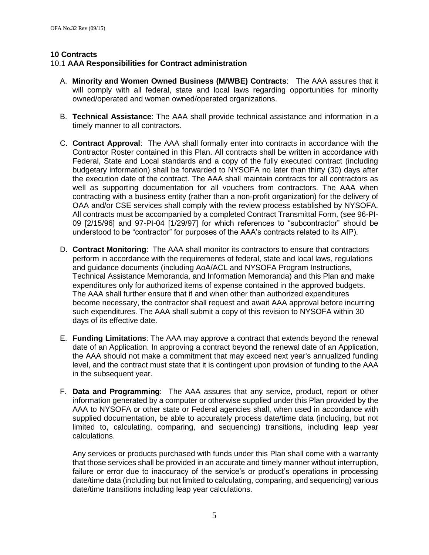### **10 Contracts**

### 10.1 **AAA Responsibilities for Contract administration**

- A. **Minority and Women Owned Business (M/WBE) Contracts**: The AAA assures that it will comply with all federal, state and local laws regarding opportunities for minority owned/operated and women owned/operated organizations.
- B. **Technical Assistance**: The AAA shall provide technical assistance and information in a timely manner to all contractors.
- C. **Contract Approval**: The AAA shall formally enter into contracts in accordance with the Contractor Roster contained in this Plan. All contracts shall be written in accordance with Federal, State and Local standards and a copy of the fully executed contract (including budgetary information) shall be forwarded to NYSOFA no later than thirty (30) days after the execution date of the contract. The AAA shall maintain contracts for all contractors as well as supporting documentation for all vouchers from contractors. The AAA when contracting with a business entity (rather than a non-profit organization) for the delivery of OAA and/or CSE services shall comply with the review process established by NYSOFA. All contracts must be accompanied by a completed Contract Transmittal Form, (see 96-PI-09 [2/15/96] and 97-PI-04 [1/29/97] for which references to "subcontractor" should be understood to be "contractor" for purposes of the AAA's contracts related to its AIP).
- D. **Contract Monitoring**: The AAA shall monitor its contractors to ensure that contractors perform in accordance with the requirements of federal, state and local laws, regulations and guidance documents (including AoA/ACL and NYSOFA Program Instructions, Technical Assistance Memoranda, and Information Memoranda) and this Plan and make expenditures only for authorized items of expense contained in the approved budgets. The AAA shall further ensure that if and when other than authorized expenditures become necessary, the contractor shall request and await AAA approval before incurring such expenditures. The AAA shall submit a copy of this revision to NYSOFA within 30 days of its effective date.
- E. **Funding Limitations**: The AAA may approve a contract that extends beyond the renewal date of an Application. In approving a contract beyond the renewal date of an Application, the AAA should not make a commitment that may exceed next year's annualized funding level, and the contract must state that it is contingent upon provision of funding to the AAA in the subsequent year.
- F. **Data and Programming**: The AAA assures that any service, product, report or other information generated by a computer or otherwise supplied under this Plan provided by the AAA to NYSOFA or other state or Federal agencies shall, when used in accordance with supplied documentation, be able to accurately process date/time data (including, but not limited to, calculating, comparing, and sequencing) transitions, including leap year calculations.

Any services or products purchased with funds under this Plan shall come with a warranty that those services shall be provided in an accurate and timely manner without interruption, failure or error due to inaccuracy of the service's or product's operations in processing date/time data (including but not limited to calculating, comparing, and sequencing) various date/time transitions including leap year calculations.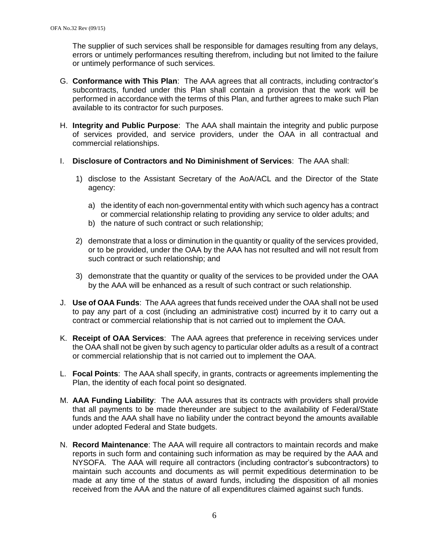The supplier of such services shall be responsible for damages resulting from any delays, errors or untimely performances resulting therefrom, including but not limited to the failure or untimely performance of such services.

- G. **Conformance with This Plan**: The AAA agrees that all contracts, including contractor's subcontracts, funded under this Plan shall contain a provision that the work will be performed in accordance with the terms of this Plan, and further agrees to make such Plan available to its contractor for such purposes.
- H. **Integrity and Public Purpose**: The AAA shall maintain the integrity and public purpose of services provided, and service providers, under the OAA in all contractual and commercial relationships.
- I. **Disclosure of Contractors and No Diminishment of Services**: The AAA shall:
	- 1) disclose to the Assistant Secretary of the AoA/ACL and the Director of the State agency:
		- a) the identity of each non-governmental entity with which such agency has a contract or commercial relationship relating to providing any service to older adults; and
		- b) the nature of such contract or such relationship;
	- 2) demonstrate that a loss or diminution in the quantity or quality of the services provided, or to be provided, under the OAA by the AAA has not resulted and will not result from such contract or such relationship; and
	- 3) demonstrate that the quantity or quality of the services to be provided under the OAA by the AAA will be enhanced as a result of such contract or such relationship.
- J. **Use of OAA Funds**: The AAA agrees that funds received under the OAA shall not be used to pay any part of a cost (including an administrative cost) incurred by it to carry out a contract or commercial relationship that is not carried out to implement the OAA.
- K. **Receipt of OAA Services**: The AAA agrees that preference in receiving services under the OAA shall not be given by such agency to particular older adults as a result of a contract or commercial relationship that is not carried out to implement the OAA.
- L. **Focal Points**: The AAA shall specify, in grants, contracts or agreements implementing the Plan, the identity of each focal point so designated.
- M. **AAA Funding Liability**: The AAA assures that its contracts with providers shall provide that all payments to be made thereunder are subject to the availability of Federal/State funds and the AAA shall have no liability under the contract beyond the amounts available under adopted Federal and State budgets.
- N. **Record Maintenance**: The AAA will require all contractors to maintain records and make reports in such form and containing such information as may be required by the AAA and NYSOFA. The AAA will require all contractors (including contractor's subcontractors) to maintain such accounts and documents as will permit expeditious determination to be made at any time of the status of award funds, including the disposition of all monies received from the AAA and the nature of all expenditures claimed against such funds.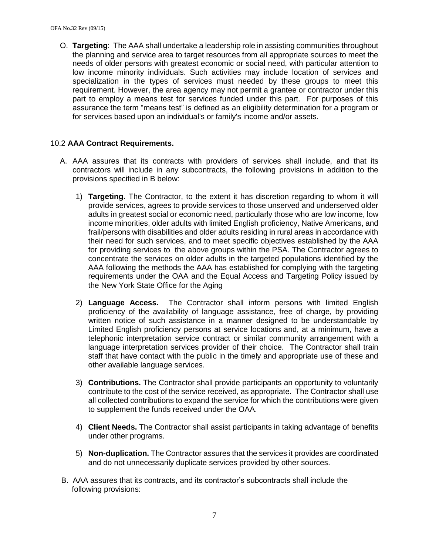O. **Targeting**: The AAA shall undertake a leadership role in assisting communities throughout the planning and service area to target resources from all appropriate sources to meet the needs of older persons with greatest economic or social need, with particular attention to low income minority individuals. Such activities may include location of services and specialization in the types of services must needed by these groups to meet this requirement. However, the area agency may not permit a grantee or contractor under this part to employ a means test for services funded under this part. For purposes of this assurance the term "means test" is defined as an eligibility determination for a program or for services based upon an individual's or family's income and/or assets.

# 10.2 **AAA Contract Requirements.**

- A. AAA assures that its contracts with providers of services shall include, and that its contractors will include in any subcontracts, the following provisions in addition to the provisions specified in B below:
	- 1) **Targeting.** The Contractor, to the extent it has discretion regarding to whom it will provide services, agrees to provide services to those unserved and underserved older adults in greatest social or economic need, particularly those who are low income, low income minorities, older adults with limited English proficiency, Native Americans, and frail/persons with disabilities and older adults residing in rural areas in accordance with their need for such services, and to meet specific objectives established by the AAA for providing services to the above groups within the PSA. The Contractor agrees to concentrate the services on older adults in the targeted populations identified by the AAA following the methods the AAA has established for complying with the targeting requirements under the OAA and the Equal Access and Targeting Policy issued by the New York State Office for the Aging
	- 2) **Language Access.** The Contractor shall inform persons with limited English proficiency of the availability of language assistance, free of charge, by providing written notice of such assistance in a manner designed to be understandable by Limited English proficiency persons at service locations and, at a minimum, have a telephonic interpretation service contract or similar community arrangement with a language interpretation services provider of their choice. The Contractor shall train staff that have contact with the public in the timely and appropriate use of these and other available language services.
	- 3) **Contributions.** The Contractor shall provide participants an opportunity to voluntarily contribute to the cost of the service received, as appropriate. The Contractor shall use all collected contributions to expand the service for which the contributions were given to supplement the funds received under the OAA.
	- 4) **Client Needs.** The Contractor shall assist participants in taking advantage of benefits under other programs.
	- 5) **Non-duplication.** The Contractor assures that the services it provides are coordinated and do not unnecessarily duplicate services provided by other sources.
- B. AAA assures that its contracts, and its contractor's subcontracts shall include the following provisions: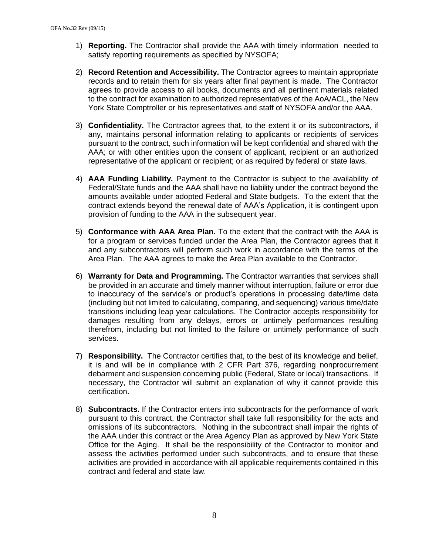- 1) **Reporting.** The Contractor shall provide the AAA with timely information needed to satisfy reporting requirements as specified by NYSOFA;
- 2) **Record Retention and Accessibility.** The Contractor agrees to maintain appropriate records and to retain them for six years after final payment is made. The Contractor agrees to provide access to all books, documents and all pertinent materials related to the contract for examination to authorized representatives of the AoA/ACL, the New York State Comptroller or his representatives and staff of NYSOFA and/or the AAA.
- 3) **Confidentiality.** The Contractor agrees that, to the extent it or its subcontractors, if any, maintains personal information relating to applicants or recipients of services pursuant to the contract, such information will be kept confidential and shared with the AAA; or with other entities upon the consent of applicant, recipient or an authorized representative of the applicant or recipient; or as required by federal or state laws.
- 4) **AAA Funding Liability.** Payment to the Contractor is subject to the availability of Federal/State funds and the AAA shall have no liability under the contract beyond the amounts available under adopted Federal and State budgets. To the extent that the contract extends beyond the renewal date of AAA's Application, it is contingent upon provision of funding to the AAA in the subsequent year.
- 5) **Conformance with AAA Area Plan.** To the extent that the contract with the AAA is for a program or services funded under the Area Plan, the Contractor agrees that it and any subcontractors will perform such work in accordance with the terms of the Area Plan. The AAA agrees to make the Area Plan available to the Contractor.
- 6) **Warranty for Data and Programming.** The Contractor warranties that services shall be provided in an accurate and timely manner without interruption, failure or error due to inaccuracy of the service's or product's operations in processing date/time data (including but not limited to calculating, comparing, and sequencing) various time/date transitions including leap year calculations. The Contractor accepts responsibility for damages resulting from any delays, errors or untimely performances resulting therefrom, including but not limited to the failure or untimely performance of such services.
- 7) **Responsibility.** The Contractor certifies that, to the best of its knowledge and belief, it is and will be in compliance with 2 CFR Part 376, regarding nonprocurrement debarment and suspension concerning public (Federal, State or local) transactions. If necessary, the Contractor will submit an explanation of why it cannot provide this certification.
- 8) **Subcontracts.** If the Contractor enters into subcontracts for the performance of work pursuant to this contract, the Contractor shall take full responsibility for the acts and omissions of its subcontractors. Nothing in the subcontract shall impair the rights of the AAA under this contract or the Area Agency Plan as approved by New York State Office for the Aging. It shall be the responsibility of the Contractor to monitor and assess the activities performed under such subcontracts, and to ensure that these activities are provided in accordance with all applicable requirements contained in this contract and federal and state law.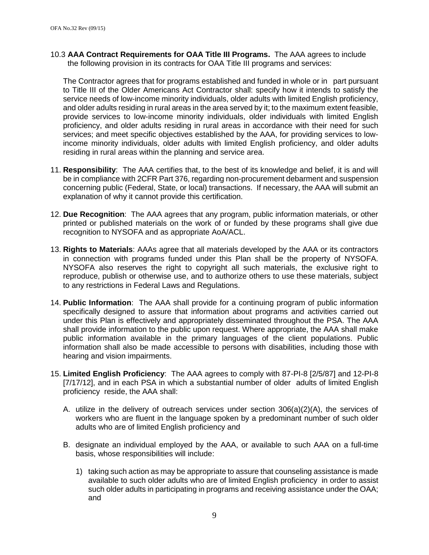10.3 **AAA Contract Requirements for OAA Title III Programs.** The AAA agrees to include the following provision in its contracts for OAA Title III programs and services:

The Contractor agrees that for programs established and funded in whole or in part pursuant to Title III of the Older Americans Act Contractor shall: specify how it intends to satisfy the service needs of low-income minority individuals, older adults with limited English proficiency, and older adults residing in rural areas in the area served by it; to the maximum extent feasible, provide services to low-income minority individuals, older individuals with limited English proficiency, and older adults residing in rural areas in accordance with their need for such services; and meet specific objectives established by the AAA, for providing services to lowincome minority individuals, older adults with limited English proficiency, and older adults residing in rural areas within the planning and service area.

- 11. **Responsibility**: The AAA certifies that, to the best of its knowledge and belief, it is and will be in compliance with 2CFR Part 376, regarding non-procurement debarment and suspension concerning public (Federal, State, or local) transactions. If necessary, the AAA will submit an explanation of why it cannot provide this certification.
- 12. **Due Recognition**: The AAA agrees that any program, public information materials, or other printed or published materials on the work of or funded by these programs shall give due recognition to NYSOFA and as appropriate AoA/ACL.
- 13. **Rights to Materials**: AAAs agree that all materials developed by the AAA or its contractors in connection with programs funded under this Plan shall be the property of NYSOFA. NYSOFA also reserves the right to copyright all such materials, the exclusive right to reproduce, publish or otherwise use, and to authorize others to use these materials, subject to any restrictions in Federal Laws and Regulations.
- 14. **Public Information**: The AAA shall provide for a continuing program of public information specifically designed to assure that information about programs and activities carried out under this Plan is effectively and appropriately disseminated throughout the PSA. The AAA shall provide information to the public upon request. Where appropriate, the AAA shall make public information available in the primary languages of the client populations. Public information shall also be made accessible to persons with disabilities, including those with hearing and vision impairments.
- 15. **Limited English Proficiency**: The AAA agrees to comply with 87-PI-8 [2/5/87] and 12-PI-8 [7/17/12], and in each PSA in which a substantial number of older adults of limited English proficiency reside, the AAA shall:
	- A. utilize in the delivery of outreach services under section 306(a)(2)(A), the services of workers who are fluent in the language spoken by a predominant number of such older adults who are of limited English proficiency and
	- B. designate an individual employed by the AAA, or available to such AAA on a full-time basis, whose responsibilities will include:
		- 1) taking such action as may be appropriate to assure that counseling assistance is made available to such older adults who are of limited English proficiency in order to assist such older adults in participating in programs and receiving assistance under the OAA; and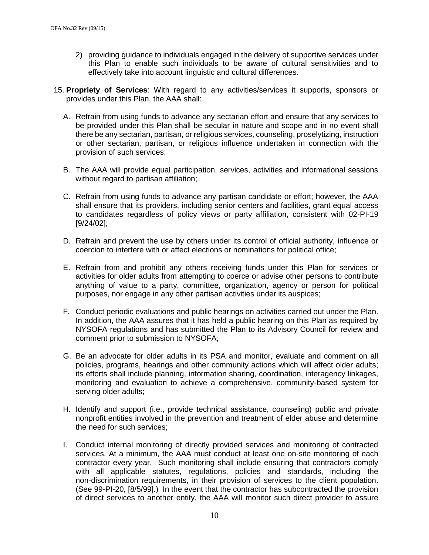- 2) providing guidance to individuals engaged in the delivery of supportive services under this Plan to enable such individuals to be aware of cultural sensitivities and to effectively take into account linguistic and cultural differences.
- 15. **Propriety of Services**: With regard to any activities/services it supports, sponsors or provides under this Plan, the AAA shall:
	- A. Refrain from using funds to advance any sectarian effort and ensure that any services to be provided under this Plan shall be secular in nature and scope and in no event shall there be any sectarian, partisan, or religious services, counseling, proselytizing, instruction or other sectarian, partisan, or religious influence undertaken in connection with the provision of such services;
	- B. The AAA will provide equal participation, services, activities and informational sessions without regard to partisan affiliation;
	- C. Refrain from using funds to advance any partisan candidate or effort; however, the AAA shall ensure that its providers, including senior centers and facilities, grant equal access to candidates regardless of policy views or party affiliation, consistent with 02-PI-19 [9/24/02];
	- D. Refrain and prevent the use by others under its control of official authority, influence or coercion to interfere with or affect elections or nominations for political office;
	- E. Refrain from and prohibit any others receiving funds under this Plan for services or activities for older adults from attempting to coerce or advise other persons to contribute anything of value to a party, committee, organization, agency or person for political purposes, nor engage in any other partisan activities under its auspices;
	- F. Conduct periodic evaluations and public hearings on activities carried out under the Plan. In addition, the AAA assures that it has held a public hearing on this Plan as required by NYSOFA regulations and has submitted the Plan to its Advisory Council for review and comment prior to submission to NYSOFA;
	- G. Be an advocate for older adults in its PSA and monitor, evaluate and comment on all policies, programs, hearings and other community actions which will affect older adults; its efforts shall include planning, information sharing, coordination, interagency linkages, monitoring and evaluation to achieve a comprehensive, community-based system for serving older adults;
	- H. Identify and support (i.e., provide technical assistance, counseling) public and private nonprofit entities involved in the prevention and treatment of elder abuse and determine the need for such services;
	- I. Conduct internal monitoring of directly provided services and monitoring of contracted services. At a minimum, the AAA must conduct at least one on-site monitoring of each contractor every year. Such monitoring shall include ensuring that contractors comply with all applicable statutes, regulations, policies and standards, including the non-discrimination requirements, in their provision of services to the client population. (See 99-PI-20, [8/5/99].) In the event that the contractor has subcontracted the provision of direct services to another entity, the AAA will monitor such direct provider to assure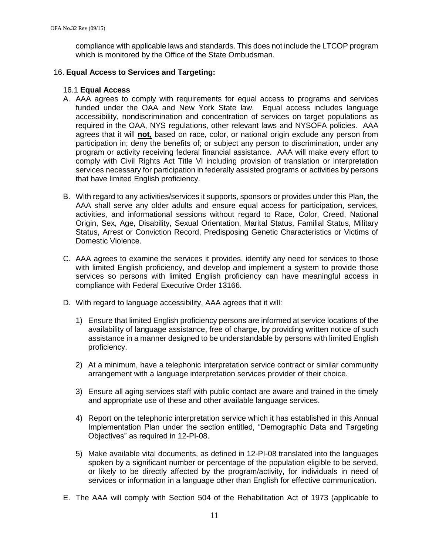compliance with applicable laws and standards. This does not include the LTCOP program which is monitored by the Office of the State Ombudsman.

### 16. **Equal Access to Services and Targeting:**

### 16.1 **Equal Access**

- A. AAA agrees to comply with requirements for equal access to programs and services funded under the OAA and New York State law. Equal access includes language accessibility, nondiscrimination and concentration of services on target populations as required in the OAA, NYS regulations, other relevant laws and NYSOFA policies. AAA agrees that it will **not,** based on race, color, or national origin exclude any person from participation in; deny the benefits of; or subject any person to discrimination, under any program or activity receiving federal financial assistance. AAA will make every effort to comply with Civil Rights Act Title VI including provision of translation or interpretation services necessary for participation in federally assisted programs or activities by persons that have limited English proficiency.
- B. With regard to any activities/services it supports, sponsors or provides under this Plan, the AAA shall serve any older adults and ensure equal access for participation, services, activities, and informational sessions without regard to Race, Color, Creed, National Origin, Sex, Age, Disability, Sexual Orientation, Marital Status, Familial Status, Military Status, Arrest or Conviction Record, Predisposing Genetic Characteristics or Victims of Domestic Violence.
- C. AAA agrees to examine the services it provides, identify any need for services to those with limited English proficiency, and develop and implement a system to provide those services so persons with limited English proficiency can have meaningful access in compliance with Federal Executive Order 13166.
- D. With regard to language accessibility, AAA agrees that it will:
	- 1) Ensure that limited English proficiency persons are informed at service locations of the availability of language assistance, free of charge, by providing written notice of such assistance in a manner designed to be understandable by persons with limited English proficiency.
	- 2) At a minimum, have a telephonic interpretation service contract or similar community arrangement with a language interpretation services provider of their choice.
	- 3) Ensure all aging services staff with public contact are aware and trained in the timely and appropriate use of these and other available language services.
	- 4) Report on the telephonic interpretation service which it has established in this Annual Implementation Plan under the section entitled, "Demographic Data and Targeting Objectives" as required in 12-PI-08.
	- 5) Make available vital documents, as defined in 12-PI-08 translated into the languages spoken by a significant number or percentage of the population eligible to be served, or likely to be directly affected by the program/activity, for individuals in need of services or information in a language other than English for effective communication.
- E. The AAA will comply with Section 504 of the Rehabilitation Act of 1973 (applicable to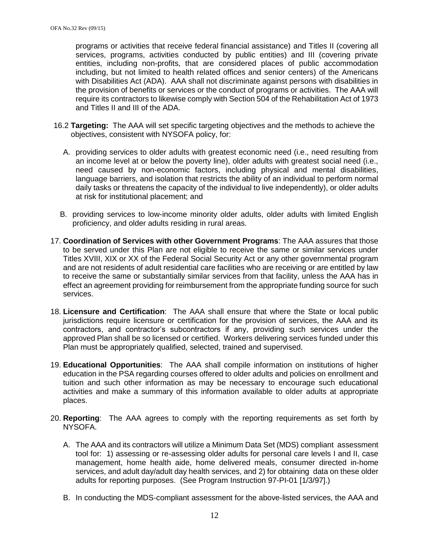programs or activities that receive federal financial assistance) and Titles II (covering all services, programs, activities conducted by public entities) and III (covering private entities, including non-profits, that are considered places of public accommodation including, but not limited to health related offices and senior centers) of the Americans with Disabilities Act (ADA). AAA shall not discriminate against persons with disabilities in the provision of benefits or services or the conduct of programs or activities. The AAA will require its contractors to likewise comply with Section 504 of the Rehabilitation Act of 1973 and Titles II and III of the ADA.

- 16.2 **Targeting:** The AAA will set specific targeting objectives and the methods to achieve the objectives, consistent with NYSOFA policy, for:
	- A. providing services to older adults with greatest economic need (i.e., need resulting from an income level at or below the poverty line), older adults with greatest social need (i.e., need caused by non-economic factors, including physical and mental disabilities, language barriers, and isolation that restricts the ability of an individual to perform normal daily tasks or threatens the capacity of the individual to live independently), or older adults at risk for institutional placement; and
	- B. providing services to low-income minority older adults, older adults with limited English proficiency, and older adults residing in rural areas.
- 17. **Coordination of Services with other Government Programs**: The AAA assures that those to be served under this Plan are not eligible to receive the same or similar services under Titles XVIII, XIX or XX of the Federal Social Security Act or any other governmental program and are not residents of adult residential care facilities who are receiving or are entitled by law to receive the same or substantially similar services from that facility, unless the AAA has in effect an agreement providing for reimbursement from the appropriate funding source for such services.
- 18. **Licensure and Certification**: The AAA shall ensure that where the State or local public jurisdictions require licensure or certification for the provision of services, the AAA and its contractors, and contractor's subcontractors if any, providing such services under the approved Plan shall be so licensed or certified. Workers delivering services funded under this Plan must be appropriately qualified, selected, trained and supervised.
- 19. **Educational Opportunities**: The AAA shall compile information on institutions of higher education in the PSA regarding courses offered to older adults and policies on enrollment and tuition and such other information as may be necessary to encourage such educational activities and make a summary of this information available to older adults at appropriate places.
- 20. **Reporting**: The AAA agrees to comply with the reporting requirements as set forth by NYSOFA.
	- A. The AAA and its contractors will utilize a Minimum Data Set (MDS) compliant assessment tool for: 1) assessing or re-assessing older adults for personal care levels I and II, case management, home health aide, home delivered meals, consumer directed in-home services, and adult day/adult day health services, and 2) for obtaining data on these older adults for reporting purposes. (See Program Instruction 97-PI-01 [1/3/97].)
	- B. In conducting the MDS-compliant assessment for the above-listed services, the AAA and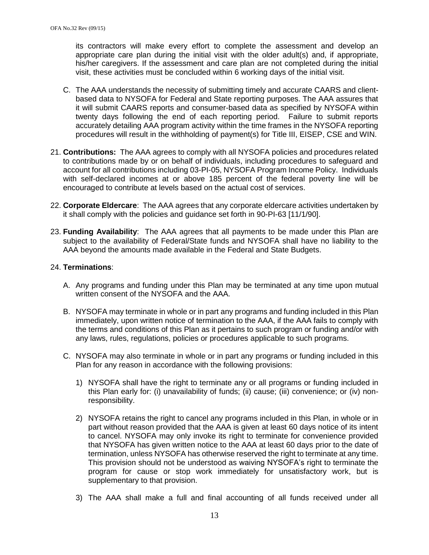its contractors will make every effort to complete the assessment and develop an appropriate care plan during the initial visit with the older adult(s) and, if appropriate, his/her caregivers. If the assessment and care plan are not completed during the initial visit, these activities must be concluded within 6 working days of the initial visit.

- C. The AAA understands the necessity of submitting timely and accurate CAARS and clientbased data to NYSOFA for Federal and State reporting purposes. The AAA assures that it will submit CAARS reports and consumer-based data as specified by NYSOFA within twenty days following the end of each reporting period. Failure to submit reports accurately detailing AAA program activity within the time frames in the NYSOFA reporting procedures will result in the withholding of payment(s) for Title III, EISEP, CSE and WIN.
- 21. **Contributions:** The AAA agrees to comply with all NYSOFA policies and procedures related to contributions made by or on behalf of individuals, including procedures to safeguard and account for all contributions including 03-PI-05, NYSOFA Program Income Policy. Individuals with self-declared incomes at or above 185 percent of the federal poverty line will be encouraged to contribute at levels based on the actual cost of services.
- 22. **Corporate Eldercare**: The AAA agrees that any corporate eldercare activities undertaken by it shall comply with the policies and guidance set forth in 90-PI-63 [11/1/90].
- 23. **Funding Availability**: The AAA agrees that all payments to be made under this Plan are subject to the availability of Federal/State funds and NYSOFA shall have no liability to the AAA beyond the amounts made available in the Federal and State Budgets.

### 24. **Terminations**:

- A. Any programs and funding under this Plan may be terminated at any time upon mutual written consent of the NYSOFA and the AAA.
- B. NYSOFA may terminate in whole or in part any programs and funding included in this Plan immediately, upon written notice of termination to the AAA, if the AAA fails to comply with the terms and conditions of this Plan as it pertains to such program or funding and/or with any laws, rules, regulations, policies or procedures applicable to such programs.
- C. NYSOFA may also terminate in whole or in part any programs or funding included in this Plan for any reason in accordance with the following provisions:
	- 1) NYSOFA shall have the right to terminate any or all programs or funding included in this Plan early for: (i) unavailability of funds; (ii) cause; (iii) convenience; or (iv) nonresponsibility.
	- 2) NYSOFA retains the right to cancel any programs included in this Plan, in whole or in part without reason provided that the AAA is given at least 60 days notice of its intent to cancel. NYSOFA may only invoke its right to terminate for convenience provided that NYSOFA has given written notice to the AAA at least 60 days prior to the date of termination, unless NYSOFA has otherwise reserved the right to terminate at any time. This provision should not be understood as waiving NYSOFA's right to terminate the program for cause or stop work immediately for unsatisfactory work, but is supplementary to that provision.
	- 3) The AAA shall make a full and final accounting of all funds received under all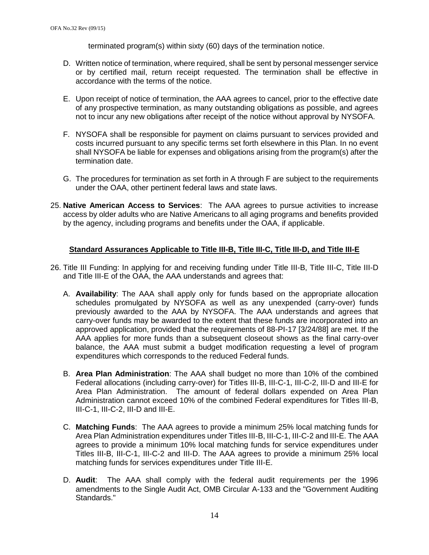terminated program(s) within sixty (60) days of the termination notice.

- D. Written notice of termination, where required, shall be sent by personal messenger service or by certified mail, return receipt requested. The termination shall be effective in accordance with the terms of the notice.
- E. Upon receipt of notice of termination, the AAA agrees to cancel, prior to the effective date of any prospective termination, as many outstanding obligations as possible, and agrees not to incur any new obligations after receipt of the notice without approval by NYSOFA.
- F. NYSOFA shall be responsible for payment on claims pursuant to services provided and costs incurred pursuant to any specific terms set forth elsewhere in this Plan. In no event shall NYSOFA be liable for expenses and obligations arising from the program(s) after the termination date.
- G. The procedures for termination as set forth in A through F are subject to the requirements under the OAA, other pertinent federal laws and state laws.
- 25. **Native American Access to Services**: The AAA agrees to pursue activities to increase access by older adults who are Native Americans to all aging programs and benefits provided by the agency, including programs and benefits under the OAA, if applicable.

#### **Standard Assurances Applicable to Title III-B, Title III-C, Title III-D, and Title III-E**

- 26. Title III Funding: In applying for and receiving funding under Title III-B, Title III-C, Title III-D and Title III-E of the OAA, the AAA understands and agrees that:
	- A. **Availability**: The AAA shall apply only for funds based on the appropriate allocation schedules promulgated by NYSOFA as well as any unexpended (carry-over) funds previously awarded to the AAA by NYSOFA. The AAA understands and agrees that carry-over funds may be awarded to the extent that these funds are incorporated into an approved application, provided that the requirements of 88-PI-17 [3/24/88] are met. If the AAA applies for more funds than a subsequent closeout shows as the final carry-over balance, the AAA must submit a budget modification requesting a level of program expenditures which corresponds to the reduced Federal funds.
	- B. **Area Plan Administration**: The AAA shall budget no more than 10% of the combined Federal allocations (including carry-over) for Titles III-B, III-C-1, III-C-2, III-D and III-E for Area Plan Administration. The amount of federal dollars expended on Area Plan Administration cannot exceed 10% of the combined Federal expenditures for Titles III-B, III-C-1, III-C-2, III-D and III-E.
	- C. **Matching Funds**: The AAA agrees to provide a minimum 25% local matching funds for Area Plan Administration expenditures under Titles III-B, III-C-1, III-C-2 and III-E. The AAA agrees to provide a minimum 10% local matching funds for service expenditures under Titles III-B, III-C-1, III-C-2 and III-D. The AAA agrees to provide a minimum 25% local matching funds for services expenditures under Title III-E.
	- D. **Audit**: The AAA shall comply with the federal audit requirements per the 1996 amendments to the Single Audit Act, OMB Circular A-133 and the "Government Auditing Standards."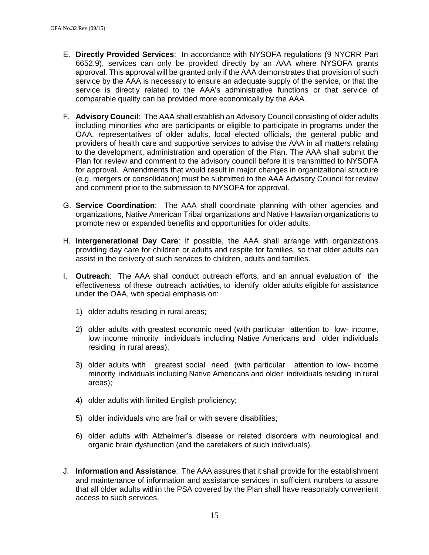- E. **Directly Provided Services**: In accordance with NYSOFA regulations (9 NYCRR Part 6652.9), services can only be provided directly by an AAA where NYSOFA grants approval. This approval will be granted only if the AAA demonstrates that provision of such service by the AAA is necessary to ensure an adequate supply of the service, or that the service is directly related to the AAA's administrative functions or that service of comparable quality can be provided more economically by the AAA.
- F. **Advisory Council**: The AAA shall establish an Advisory Council consisting of older adults including minorities who are participants or eligible to participate in programs under the OAA, representatives of older adults, local elected officials, the general public and providers of health care and supportive services to advise the AAA in all matters relating to the development, administration and operation of the Plan. The AAA shall submit the Plan for review and comment to the advisory council before it is transmitted to NYSOFA for approval. Amendments that would result in major changes in organizational structure (e.g. mergers or consolidation) must be submitted to the AAA Advisory Council for review and comment prior to the submission to NYSOFA for approval.
- G. **Service Coordination**: The AAA shall coordinate planning with other agencies and organizations, Native American Tribal organizations and Native Hawaiian organizations to promote new or expanded benefits and opportunities for older adults.
- H. **Intergenerational Day Care**: If possible, the AAA shall arrange with organizations providing day care for children or adults and respite for families, so that older adults can assist in the delivery of such services to children, adults and families.
- I. **Outreach**: The AAA shall conduct outreach efforts, and an annual evaluation of the effectiveness of these outreach activities, to identify older adults eligible for assistance under the OAA, with special emphasis on:
	- 1) older adults residing in rural areas;
	- 2) older adults with greatest economic need (with particular attention to low- income, low income minority individuals including Native Americans and older individuals residing in rural areas);
	- 3) older adults with greatest social need (with particular attention to low- income minority individuals including Native Americans and older individuals residing in rural areas);
	- 4) older adults with limited English proficiency;
	- 5) older individuals who are frail or with severe disabilities;
	- 6) older adults with Alzheimer's disease or related disorders with neurological and organic brain dysfunction (and the caretakers of such individuals).
- J. **Information and Assistance**: The AAA assures that it shall provide for the establishment and maintenance of information and assistance services in sufficient numbers to assure that all older adults within the PSA covered by the Plan shall have reasonably convenient access to such services.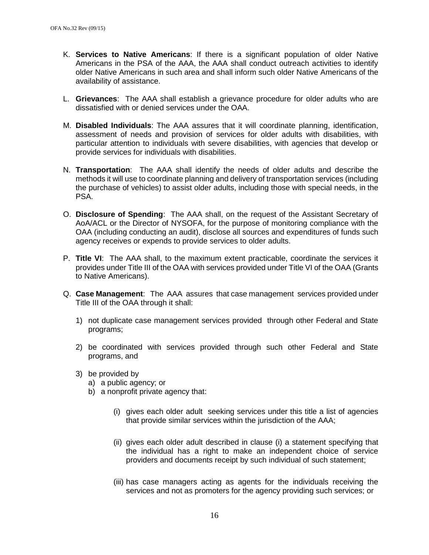- K. **Services to Native Americans**: If there is a significant population of older Native Americans in the PSA of the AAA, the AAA shall conduct outreach activities to identify older Native Americans in such area and shall inform such older Native Americans of the availability of assistance.
- L. **Grievances**: The AAA shall establish a grievance procedure for older adults who are dissatisfied with or denied services under the OAA.
- M. **Disabled Individuals**: The AAA assures that it will coordinate planning, identification, assessment of needs and provision of services for older adults with disabilities, with particular attention to individuals with severe disabilities, with agencies that develop or provide services for individuals with disabilities.
- N. **Transportation**: The AAA shall identify the needs of older adults and describe the methods it will use to coordinate planning and delivery of transportation services (including the purchase of vehicles) to assist older adults, including those with special needs, in the PSA.
- O. **Disclosure of Spending**: The AAA shall, on the request of the Assistant Secretary of AoA/ACL or the Director of NYSOFA, for the purpose of monitoring compliance with the OAA (including conducting an audit), disclose all sources and expenditures of funds such agency receives or expends to provide services to older adults.
- P. **Title VI**: The AAA shall, to the maximum extent practicable, coordinate the services it provides under Title III of the OAA with services provided under Title VI of the OAA (Grants to Native Americans).
- Q. **Case Management**: The AAA assures that case management services provided under Title III of the OAA through it shall:
	- 1) not duplicate case management services provided through other Federal and State programs;
	- 2) be coordinated with services provided through such other Federal and State programs, and
	- 3) be provided by
		- a) a public agency; or
		- b) a nonprofit private agency that:
			- (i) gives each older adult seeking services under this title a list of agencies that provide similar services within the jurisdiction of the AAA;
			- (ii) gives each older adult described in clause (i) a statement specifying that the individual has a right to make an independent choice of service providers and documents receipt by such individual of such statement;
			- (iii) has case managers acting as agents for the individuals receiving the services and not as promoters for the agency providing such services; or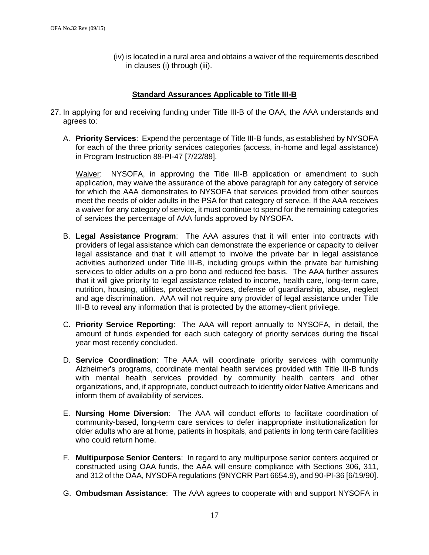(iv) is located in a rural area and obtains a waiver of the requirements described in clauses (i) through (iii).

### **Standard Assurances Applicable to Title III-B**

- 27. In applying for and receiving funding under Title III-B of the OAA, the AAA understands and agrees to:
	- A. **Priority Services**: Expend the percentage of Title III-B funds, as established by NYSOFA for each of the three priority services categories (access, in-home and legal assistance) in Program Instruction 88-PI-47 [7/22/88].

Waiver: NYSOFA, in approving the Title III-B application or amendment to such application, may waive the assurance of the above paragraph for any category of service for which the AAA demonstrates to NYSOFA that services provided from other sources meet the needs of older adults in the PSA for that category of service. If the AAA receives a waiver for any category of service, it must continue to spend for the remaining categories of services the percentage of AAA funds approved by NYSOFA.

- B. **Legal Assistance Program**: The AAA assures that it will enter into contracts with providers of legal assistance which can demonstrate the experience or capacity to deliver legal assistance and that it will attempt to involve the private bar in legal assistance activities authorized under Title III-B, including groups within the private bar furnishing services to older adults on a pro bono and reduced fee basis. The AAA further assures that it will give priority to legal assistance related to income, health care, long-term care, nutrition, housing, utilities, protective services, defense of guardianship, abuse, neglect and age discrimination. AAA will not require any provider of legal assistance under Title III-B to reveal any information that is protected by the attorney-client privilege.
- C. **Priority Service Reporting**: The AAA will report annually to NYSOFA, in detail, the amount of funds expended for each such category of priority services during the fiscal year most recently concluded.
- D. **Service Coordination**: The AAA will coordinate priority services with community Alzheimer's programs, coordinate mental health services provided with Title III-B funds with mental health services provided by community health centers and other organizations, and, if appropriate, conduct outreach to identify older Native Americans and inform them of availability of services.
- E. **Nursing Home Diversion**: The AAA will conduct efforts to facilitate coordination of community-based, long-term care services to defer inappropriate institutionalization for older adults who are at home, patients in hospitals, and patients in long term care facilities who could return home.
- F. **Multipurpose Senior Centers**: In regard to any multipurpose senior centers acquired or constructed using OAA funds, the AAA will ensure compliance with Sections 306, 311, and 312 of the OAA, NYSOFA regulations (9NYCRR Part 6654.9), and 90-PI-36 [6/19/90].
- G. **Ombudsman Assistance**: The AAA agrees to cooperate with and support NYSOFA in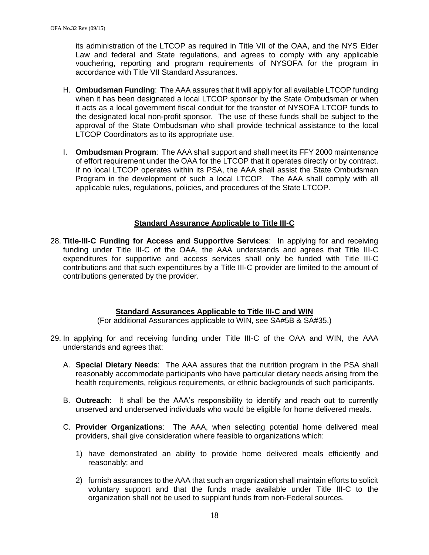its administration of the LTCOP as required in Title VII of the OAA, and the NYS Elder Law and federal and State regulations, and agrees to comply with any applicable vouchering, reporting and program requirements of NYSOFA for the program in accordance with Title VII Standard Assurances.

- H. **Ombudsman Funding**: The AAA assures that it will apply for all available LTCOP funding when it has been designated a local LTCOP sponsor by the State Ombudsman or when it acts as a local government fiscal conduit for the transfer of NYSOFA LTCOP funds to the designated local non-profit sponsor. The use of these funds shall be subject to the approval of the State Ombudsman who shall provide technical assistance to the local LTCOP Coordinators as to its appropriate use.
- I. **Ombudsman Program**: The AAA shall support and shall meet its FFY 2000 maintenance of effort requirement under the OAA for the LTCOP that it operates directly or by contract. If no local LTCOP operates within its PSA, the AAA shall assist the State Ombudsman Program in the development of such a local LTCOP. The AAA shall comply with all applicable rules, regulations, policies, and procedures of the State LTCOP.

### **Standard Assurance Applicable to Title III-C**

28. **Title-III-C Funding for Access and Supportive Services**: In applying for and receiving funding under Title III-C of the OAA, the AAA understands and agrees that Title III-C expenditures for supportive and access services shall only be funded with Title III-C contributions and that such expenditures by a Title III-C provider are limited to the amount of contributions generated by the provider.

# **Standard Assurances Applicable to Title III-C and WIN**

(For additional Assurances applicable to WIN, see SA#5B & SA#35.)

- 29. In applying for and receiving funding under Title III-C of the OAA and WIN, the AAA understands and agrees that:
	- A. **Special Dietary Needs**: The AAA assures that the nutrition program in the PSA shall reasonably accommodate participants who have particular dietary needs arising from the health requirements, religious requirements, or ethnic backgrounds of such participants.
	- B. **Outreach**: It shall be the AAA's responsibility to identify and reach out to currently unserved and underserved individuals who would be eligible for home delivered meals.
	- C. **Provider Organizations**: The AAA, when selecting potential home delivered meal providers, shall give consideration where feasible to organizations which:
		- 1) have demonstrated an ability to provide home delivered meals efficiently and reasonably; and
		- 2) furnish assurances to the AAA that such an organization shall maintain efforts to solicit voluntary support and that the funds made available under Title III-C to the organization shall not be used to supplant funds from non-Federal sources.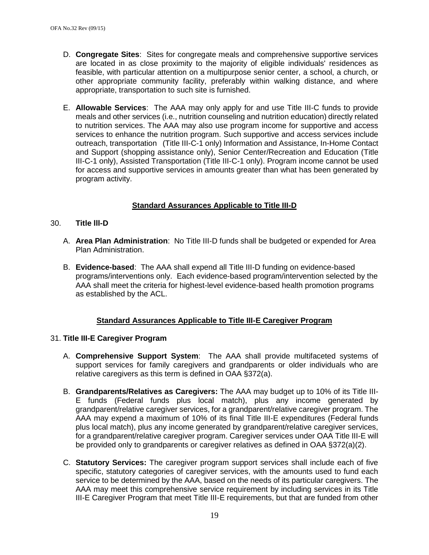- D. **Congregate Sites**: Sites for congregate meals and comprehensive supportive services are located in as close proximity to the majority of eligible individuals' residences as feasible, with particular attention on a multipurpose senior center, a school, a church, or other appropriate community facility, preferably within walking distance, and where appropriate, transportation to such site is furnished.
- E. **Allowable Services**: The AAA may only apply for and use Title III-C funds to provide meals and other services (i.e., nutrition counseling and nutrition education) directly related to nutrition services. The AAA may also use program income for supportive and access services to enhance the nutrition program. Such supportive and access services include outreach, transportation (Title III-C-1 only) Information and Assistance, In-Home Contact and Support (shopping assistance only), Senior Center/Recreation and Education (Title III-C-1 only), Assisted Transportation (Title III-C-1 only). Program income cannot be used for access and supportive services in amounts greater than what has been generated by program activity.

# **Standard Assurances Applicable to Title III-D**

### 30. **Title lll-D**

- A. **Area Plan Administration**: No Title III-D funds shall be budgeted or expended for Area Plan Administration.
- B. **Evidence-based**: The AAA shall expend all Title III-D funding on evidence-based programs/interventions only. Each evidence-based program/intervention selected by the AAA shall meet the criteria for highest-level evidence-based health promotion programs as established by the ACL.

# **Standard Assurances Applicable to Title III-E Caregiver Program**

#### 31. **Title III-E Caregiver Program**

- A. **Comprehensive Support System**: The AAA shall provide multifaceted systems of support services for family caregivers and grandparents or older individuals who are relative caregivers as this term is defined in OAA §372(a).
- B. **Grandparents/Relatives as Caregivers:** The AAA may budget up to 10% of its Title III-E funds (Federal funds plus local match), plus any income generated by grandparent/relative caregiver services, for a grandparent/relative caregiver program. The AAA may expend a maximum of 10% of its final Title III-E expenditures (Federal funds plus local match), plus any income generated by grandparent/relative caregiver services, for a grandparent/relative caregiver program. Caregiver services under OAA Title III-E will be provided only to grandparents or caregiver relatives as defined in OAA §372(a)(2).
- C. **Statutory Services:** The caregiver program support services shall include each of five specific, statutory categories of caregiver services, with the amounts used to fund each service to be determined by the AAA, based on the needs of its particular caregivers. The AAA may meet this comprehensive service requirement by including services in its Title III-E Caregiver Program that meet Title III-E requirements, but that are funded from other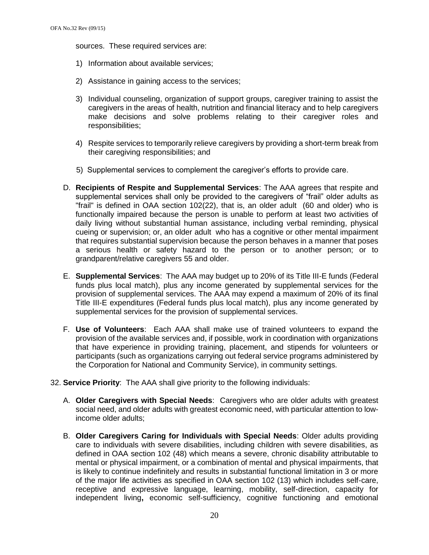sources. These required services are:

- 1) Information about available services;
- 2) Assistance in gaining access to the services;
- 3) Individual counseling, organization of support groups, caregiver training to assist the caregivers in the areas of health, nutrition and financial literacy and to help caregivers make decisions and solve problems relating to their caregiver roles and responsibilities;
- 4) Respite services to temporarily relieve caregivers by providing a short-term break from their caregiving responsibilities; and
- 5) Supplemental services to complement the caregiver's efforts to provide care.
- D. **Recipients of Respite and Supplemental Services**: The AAA agrees that respite and supplemental services shall only be provided to the caregivers of "frail" older adults as "frail" is defined in OAA section 102(22), that is, an older adult (60 and older) who is functionally impaired because the person is unable to perform at least two activities of daily living without substantial human assistance, including verbal reminding, physical cueing or supervision; or, an older adult who has a cognitive or other mental impairment that requires substantial supervision because the person behaves in a manner that poses a serious health or safety hazard to the person or to another person; or to grandparent/relative caregivers 55 and older.
- E. **Supplemental Services**: The AAA may budget up to 20% of its Title III-E funds (Federal funds plus local match), plus any income generated by supplemental services for the provision of supplemental services. The AAA may expend a maximum of 20% of its final Title III-E expenditures (Federal funds plus local match), plus any income generated by supplemental services for the provision of supplemental services.
- F. **Use of Volunteers**: Each AAA shall make use of trained volunteers to expand the provision of the available services and, if possible, work in coordination with organizations that have experience in providing training, placement, and stipends for volunteers or participants (such as organizations carrying out federal service programs administered by the Corporation for National and Community Service), in community settings.
- 32. **Service Priority**: The AAA shall give priority to the following individuals:
	- A. **Older Caregivers with Special Needs**: Caregivers who are older adults with greatest social need, and older adults with greatest economic need, with particular attention to lowincome older adults;
	- B. **Older Caregivers Caring for Individuals with Special Needs**: Older adults providing care to individuals with severe disabilities, including children with severe disabilities, as defined in OAA section 102 (48) which means a severe, chronic disability attributable to mental or physical impairment, or a combination of mental and physical impairments, that is likely to continue indefinitely and results in substantial functional limitation in 3 or more of the major life activities as specified in OAA section 102 (13) which includes self-care, receptive and expressive language, learning, mobility, self-direction, capacity for independent living**,** economic self-sufficiency, cognitive functioning and emotional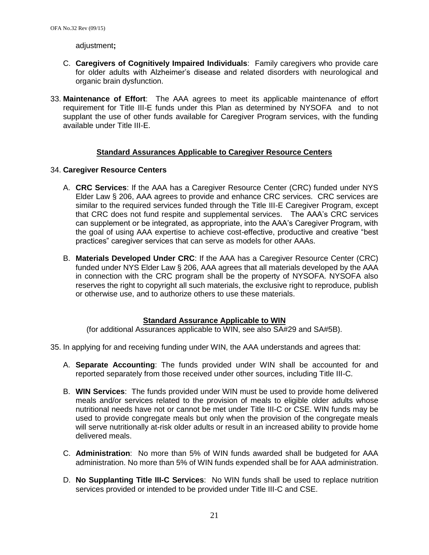adjustment**;**

- C. **Caregivers of Cognitively Impaired Individuals**: Family caregivers who provide care for older adults with Alzheimer's disease and related disorders with neurological and organic brain dysfunction.
- 33. **Maintenance of Effort**: The AAA agrees to meet its applicable maintenance of effort requirement for Title III-E funds under this Plan as determined by NYSOFA and to not supplant the use of other funds available for Caregiver Program services, with the funding available under Title III-E.

### **Standard Assurances Applicable to Caregiver Resource Centers**

#### 34. **Caregiver Resource Centers**

- A. **CRC Services**: If the AAA has a Caregiver Resource Center (CRC) funded under NYS Elder Law § 206, AAA agrees to provide and enhance CRC services. CRC services are similar to the required services funded through the Title III-E Caregiver Program, except that CRC does not fund respite and supplemental services. The AAA's CRC services can supplement or be integrated, as appropriate, into the AAA's Caregiver Program, with the goal of using AAA expertise to achieve cost-effective, productive and creative "best practices" caregiver services that can serve as models for other AAAs.
- B. **Materials Developed Under CRC**: If the AAA has a Caregiver Resource Center (CRC) funded under NYS Elder Law § 206, AAA agrees that all materials developed by the AAA in connection with the CRC program shall be the property of NYSOFA. NYSOFA also reserves the right to copyright all such materials, the exclusive right to reproduce, publish or otherwise use, and to authorize others to use these materials.

#### **Standard Assurance Applicable to WIN**

(for additional Assurances applicable to WIN, see also SA#29 and SA#5B).

- 35. In applying for and receiving funding under WIN, the AAA understands and agrees that:
	- A. **Separate Accounting**: The funds provided under WIN shall be accounted for and reported separately from those received under other sources, including Title III-C.
	- B. **WIN Services**: The funds provided under WIN must be used to provide home delivered meals and/or services related to the provision of meals to eligible older adults whose nutritional needs have not or cannot be met under Title III-C or CSE. WIN funds may be used to provide congregate meals but only when the provision of the congregate meals will serve nutritionally at-risk older adults or result in an increased ability to provide home delivered meals.
	- C. **Administration**: No more than 5% of WIN funds awarded shall be budgeted for AAA administration. No more than 5% of WIN funds expended shall be for AAA administration.
	- D. **No Supplanting Title III-C Services**: No WIN funds shall be used to replace nutrition services provided or intended to be provided under Title III-C and CSE.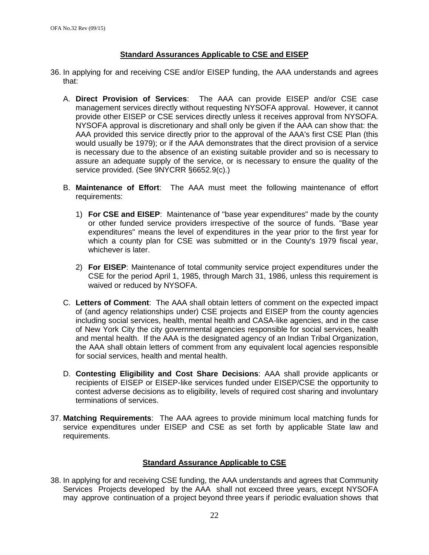### **Standard Assurances Applicable to CSE and EISEP**

- 36. In applying for and receiving CSE and/or EISEP funding, the AAA understands and agrees that:
	- A. **Direct Provision of Services**: The AAA can provide EISEP and/or CSE case management services directly without requesting NYSOFA approval. However, it cannot provide other EISEP or CSE services directly unless it receives approval from NYSOFA. NYSOFA approval is discretionary and shall only be given if the AAA can show that: the AAA provided this service directly prior to the approval of the AAA's first CSE Plan (this would usually be 1979); or if the AAA demonstrates that the direct provision of a service is necessary due to the absence of an existing suitable provider and so is necessary to assure an adequate supply of the service, or is necessary to ensure the quality of the service provided. (See 9NYCRR §6652.9(c).)
	- B. **Maintenance of Effort**: The AAA must meet the following maintenance of effort requirements:
		- 1) **For CSE and EISEP**: Maintenance of "base year expenditures" made by the county or other funded service providers irrespective of the source of funds. "Base year expenditures" means the level of expenditures in the year prior to the first year for which a county plan for CSE was submitted or in the County's 1979 fiscal year, whichever is later.
		- 2) **For EISEP**: Maintenance of total community service project expenditures under the CSE for the period April 1, 1985, through March 31, 1986, unless this requirement is waived or reduced by NYSOFA.
	- C. **Letters of Comment**: The AAA shall obtain letters of comment on the expected impact of (and agency relationships under) CSE projects and EISEP from the county agencies including social services, health, mental health and CASA-like agencies, and in the case of New York City the city governmental agencies responsible for social services, health and mental health. If the AAA is the designated agency of an Indian Tribal Organization, the AAA shall obtain letters of comment from any equivalent local agencies responsible for social services, health and mental health.
	- D. **Contesting Eligibility and Cost Share Decisions**: AAA shall provide applicants or recipients of EISEP or EISEP-like services funded under EISEP/CSE the opportunity to contest adverse decisions as to eligibility, levels of required cost sharing and involuntary terminations of services.
- 37. **Matching Requirements**: The AAA agrees to provide minimum local matching funds for service expenditures under EISEP and CSE as set forth by applicable State law and requirements.

# **Standard Assurance Applicable to CSE**

38. In applying for and receiving CSE funding, the AAA understands and agrees that Community Services Projects developed by the AAA shall not exceed three years, except NYSOFA may approve continuation of a project beyond three years if periodic evaluation shows that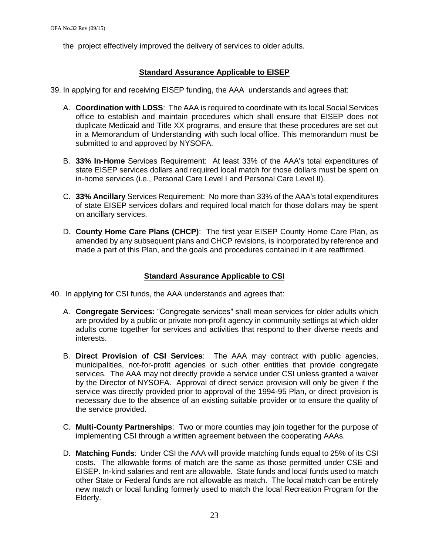the project effectively improved the delivery of services to older adults.

### **Standard Assurance Applicable to EISEP**

39. In applying for and receiving EISEP funding, the AAA understands and agrees that:

- A. **Coordination with LDSS**: The AAA is required to coordinate with its local Social Services office to establish and maintain procedures which shall ensure that EISEP does not duplicate Medicaid and Title XX programs, and ensure that these procedures are set out in a Memorandum of Understanding with such local office. This memorandum must be submitted to and approved by NYSOFA.
- B. **33% In-Home** Services Requirement: At least 33% of the AAA's total expenditures of state EISEP services dollars and required local match for those dollars must be spent on in-home services (i.e., Personal Care Level I and Personal Care Level II).
- C. **33% Ancillary** Services Requirement: No more than 33% of the AAA's total expenditures of state EISEP services dollars and required local match for those dollars may be spent on ancillary services.
- D. **County Home Care Plans (CHCP)**: The first year EISEP County Home Care Plan, as amended by any subsequent plans and CHCP revisions, is incorporated by reference and made a part of this Plan, and the goals and procedures contained in it are reaffirmed.

### **Standard Assurance Applicable to CSI**

- 40. In applying for CSI funds, the AAA understands and agrees that:
	- A. **Congregate Services:** "Congregate services" shall mean services for older adults which are provided by a public or private non-profit agency in community settings at which older adults come together for services and activities that respond to their diverse needs and interests.
	- B. **Direct Provision of CSI Services**: The AAA may contract with public agencies, municipalities, not-for-profit agencies or such other entities that provide congregate services. The AAA may not directly provide a service under CSI unless granted a waiver by the Director of NYSOFA. Approval of direct service provision will only be given if the service was directly provided prior to approval of the 1994-95 Plan, or direct provision is necessary due to the absence of an existing suitable provider or to ensure the quality of the service provided.
	- C. **Multi-County Partnerships**: Two or more counties may join together for the purpose of implementing CSI through a written agreement between the cooperating AAAs.
	- D. **Matching Funds**: Under CSI the AAA will provide matching funds equal to 25% of its CSI costs. The allowable forms of match are the same as those permitted under CSE and EISEP. In-kind salaries and rent are allowable. State funds and local funds used to match other State or Federal funds are not allowable as match. The local match can be entirely new match or local funding formerly used to match the local Recreation Program for the Elderly.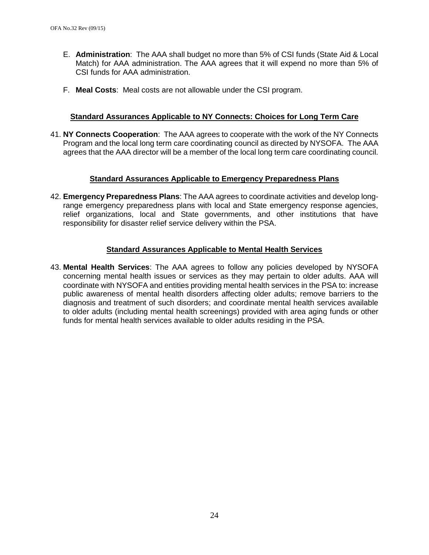- E. **Administration**: The AAA shall budget no more than 5% of CSI funds (State Aid & Local Match) for AAA administration. The AAA agrees that it will expend no more than 5% of CSI funds for AAA administration.
- F. **Meal Costs**: Meal costs are not allowable under the CSI program.

#### **Standard Assurances Applicable to NY Connects: Choices for Long Term Care**

41. **NY Connects Cooperation**: The AAA agrees to cooperate with the work of the NY Connects Program and the local long term care coordinating council as directed by NYSOFA. The AAA agrees that the AAA director will be a member of the local long term care coordinating council.

#### **Standard Assurances Applicable to Emergency Preparedness Plans**

42. **Emergency Preparedness Plans**: The AAA agrees to coordinate activities and develop longrange emergency preparedness plans with local and State emergency response agencies, relief organizations, local and State governments, and other institutions that have responsibility for disaster relief service delivery within the PSA.

#### **Standard Assurances Applicable to Mental Health Services**

43. **Mental Health Services**: The AAA agrees to follow any policies developed by NYSOFA concerning mental health issues or services as they may pertain to older adults. AAA will coordinate with NYSOFA and entities providing mental health services in the PSA to: increase public awareness of mental health disorders affecting older adults; remove barriers to the diagnosis and treatment of such disorders; and coordinate mental health services available to older adults (including mental health screenings) provided with area aging funds or other funds for mental health services available to older adults residing in the PSA.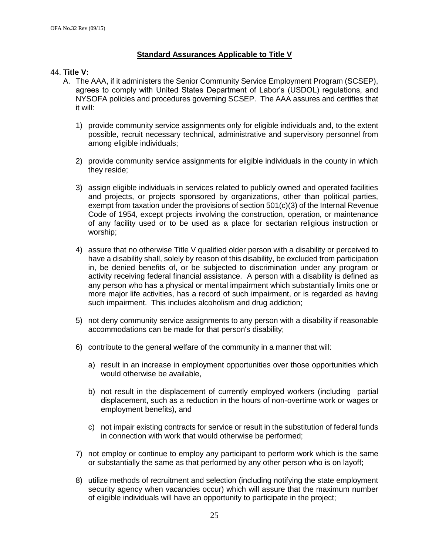### **Standard Assurances Applicable to Title V**

#### 44. **Title V:**

- A. The AAA, if it administers the Senior Community Service Employment Program (SCSEP), agrees to comply with United States Department of Labor's (USDOL) regulations, and NYSOFA policies and procedures governing SCSEP. The AAA assures and certifies that it will:
	- 1) provide community service assignments only for eligible individuals and, to the extent possible, recruit necessary technical, administrative and supervisory personnel from among eligible individuals;
	- 2) provide community service assignments for eligible individuals in the county in which they reside;
	- 3) assign eligible individuals in services related to publicly owned and operated facilities and projects, or projects sponsored by organizations, other than political parties, exempt from taxation under the provisions of section  $501(c)(3)$  of the Internal Revenue Code of 1954, except projects involving the construction, operation, or maintenance of any facility used or to be used as a place for sectarian religious instruction or worship;
	- 4) assure that no otherwise Title V qualified older person with a disability or perceived to have a disability shall, solely by reason of this disability, be excluded from participation in, be denied benefits of, or be subjected to discrimination under any program or activity receiving federal financial assistance. A person with a disability is defined as any person who has a physical or mental impairment which substantially limits one or more major life activities, has a record of such impairment, or is regarded as having such impairment. This includes alcoholism and drug addiction;
	- 5) not deny community service assignments to any person with a disability if reasonable accommodations can be made for that person's disability;
	- 6) contribute to the general welfare of the community in a manner that will:
		- a) result in an increase in employment opportunities over those opportunities which would otherwise be available,
		- b) not result in the displacement of currently employed workers (including partial displacement, such as a reduction in the hours of non-overtime work or wages or employment benefits), and
		- c) not impair existing contracts for service or result in the substitution of federal funds in connection with work that would otherwise be performed;
	- 7) not employ or continue to employ any participant to perform work which is the same or substantially the same as that performed by any other person who is on layoff;
	- 8) utilize methods of recruitment and selection (including notifying the state employment security agency when vacancies occur) which will assure that the maximum number of eligible individuals will have an opportunity to participate in the project;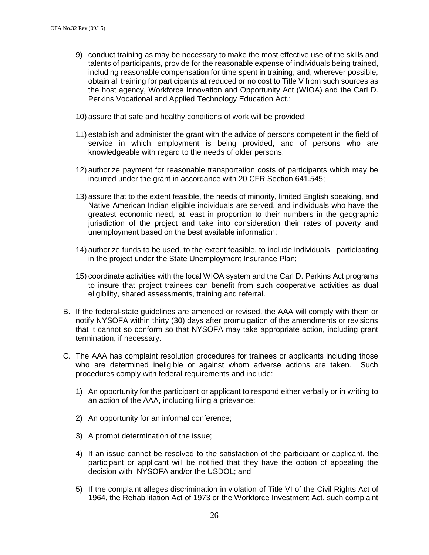- 9) conduct training as may be necessary to make the most effective use of the skills and talents of participants, provide for the reasonable expense of individuals being trained, including reasonable compensation for time spent in training; and, wherever possible, obtain all training for participants at reduced or no cost to Title V from such sources as the host agency, Workforce Innovation and Opportunity Act (WIOA) and the Carl D. Perkins Vocational and Applied Technology Education Act.;
- 10) assure that safe and healthy conditions of work will be provided;
- 11) establish and administer the grant with the advice of persons competent in the field of service in which employment is being provided, and of persons who are knowledgeable with regard to the needs of older persons;
- 12) authorize payment for reasonable transportation costs of participants which may be incurred under the grant in accordance with 20 CFR Section 641.545;
- 13) assure that to the extent feasible, the needs of minority, limited English speaking, and Native American Indian eligible individuals are served, and individuals who have the greatest economic need, at least in proportion to their numbers in the geographic jurisdiction of the project and take into consideration their rates of poverty and unemployment based on the best available information;
- 14) authorize funds to be used, to the extent feasible, to include individuals participating in the project under the State Unemployment Insurance Plan;
- 15) coordinate activities with the local WIOA system and the Carl D. Perkins Act programs to insure that project trainees can benefit from such cooperative activities as dual eligibility, shared assessments, training and referral.
- B. If the federal-state guidelines are amended or revised, the AAA will comply with them or notify NYSOFA within thirty (30) days after promulgation of the amendments or revisions that it cannot so conform so that NYSOFA may take appropriate action, including grant termination, if necessary.
- C. The AAA has complaint resolution procedures for trainees or applicants including those who are determined ineligible or against whom adverse actions are taken. Such procedures comply with federal requirements and include:
	- 1) An opportunity for the participant or applicant to respond either verbally or in writing to an action of the AAA, including filing a grievance;
	- 2) An opportunity for an informal conference;
	- 3) A prompt determination of the issue;
	- 4) If an issue cannot be resolved to the satisfaction of the participant or applicant, the participant or applicant will be notified that they have the option of appealing the decision with NYSOFA and/or the USDOL; and
	- 5) If the complaint alleges discrimination in violation of Title VI of the Civil Rights Act of 1964, the Rehabilitation Act of 1973 or the Workforce Investment Act, such complaint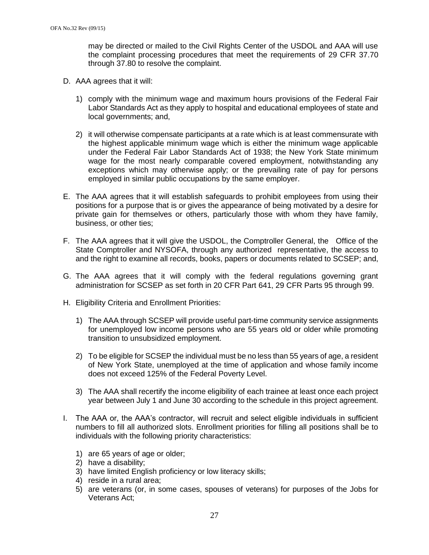may be directed or mailed to the Civil Rights Center of the USDOL and AAA will use the complaint processing procedures that meet the requirements of 29 CFR 37.70 through 37.80 to resolve the complaint.

- D. AAA agrees that it will:
	- 1) comply with the minimum wage and maximum hours provisions of the Federal Fair Labor Standards Act as they apply to hospital and educational employees of state and local governments; and,
	- 2) it will otherwise compensate participants at a rate which is at least commensurate with the highest applicable minimum wage which is either the minimum wage applicable under the Federal Fair Labor Standards Act of 1938; the New York State minimum wage for the most nearly comparable covered employment, notwithstanding any exceptions which may otherwise apply; or the prevailing rate of pay for persons employed in similar public occupations by the same employer.
- E. The AAA agrees that it will establish safeguards to prohibit employees from using their positions for a purpose that is or gives the appearance of being motivated by a desire for private gain for themselves or others, particularly those with whom they have family, business, or other ties;
- F. The AAA agrees that it will give the USDOL, the Comptroller General, the Office of the State Comptroller and NYSOFA, through any authorized representative, the access to and the right to examine all records, books, papers or documents related to SCSEP; and,
- G. The AAA agrees that it will comply with the federal regulations governing grant administration for SCSEP as set forth in 20 CFR Part 641, 29 CFR Parts 95 through 99.
- H. Eligibility Criteria and Enrollment Priorities:
	- 1) The AAA through SCSEP will provide useful part-time community service assignments for unemployed low income persons who are 55 years old or older while promoting transition to unsubsidized employment.
	- 2) To be eligible for SCSEP the individual must be no less than 55 years of age, a resident of New York State, unemployed at the time of application and whose family income does not exceed 125% of the Federal Poverty Level.
	- 3) The AAA shall recertify the income eligibility of each trainee at least once each project year between July 1 and June 30 according to the schedule in this project agreement.
- I. The AAA or, the AAA's contractor, will recruit and select eligible individuals in sufficient numbers to fill all authorized slots. Enrollment priorities for filling all positions shall be to individuals with the following priority characteristics:
	- 1) are 65 years of age or older;
	- 2) have a disability;
	- 3) have limited English proficiency or low literacy skills;
	- 4) reside in a rural area;
	- 5) are veterans (or, in some cases, spouses of veterans) for purposes of the Jobs for Veterans Act;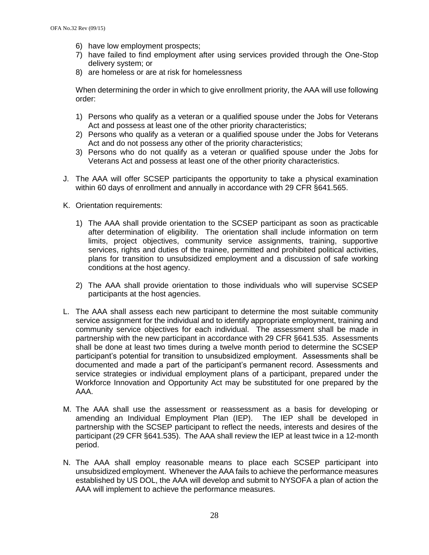- 6) have low employment prospects;
- 7) have failed to find employment after using services provided through the One-Stop delivery system; or
- 8) are homeless or are at risk for homelessness

When determining the order in which to give enrollment priority, the AAA will use following order:

- 1) Persons who qualify as a veteran or a qualified spouse under the Jobs for Veterans Act and possess at least one of the other priority characteristics;
- 2) Persons who qualify as a veteran or a qualified spouse under the Jobs for Veterans Act and do not possess any other of the priority characteristics;
- 3) Persons who do not qualify as a veteran or qualified spouse under the Jobs for Veterans Act and possess at least one of the other priority characteristics.
- J. The AAA will offer SCSEP participants the opportunity to take a physical examination within 60 days of enrollment and annually in accordance with 29 CFR §641.565.
- K. Orientation requirements:
	- 1) The AAA shall provide orientation to the SCSEP participant as soon as practicable after determination of eligibility. The orientation shall include information on term limits, project objectives, community service assignments, training, supportive services, rights and duties of the trainee, permitted and prohibited political activities, plans for transition to unsubsidized employment and a discussion of safe working conditions at the host agency.
	- 2) The AAA shall provide orientation to those individuals who will supervise SCSEP participants at the host agencies.
- L. The AAA shall assess each new participant to determine the most suitable community service assignment for the individual and to identify appropriate employment, training and community service objectives for each individual. The assessment shall be made in partnership with the new participant in accordance with 29 CFR §641.535. Assessments shall be done at least two times during a twelve month period to determine the SCSEP participant's potential for transition to unsubsidized employment. Assessments shall be documented and made a part of the participant's permanent record. Assessments and service strategies or individual employment plans of a participant, prepared under the Workforce Innovation and Opportunity Act may be substituted for one prepared by the AAA.
- M. The AAA shall use the assessment or reassessment as a basis for developing or amending an Individual Employment Plan (IEP). The IEP shall be developed in partnership with the SCSEP participant to reflect the needs, interests and desires of the participant (29 CFR §641.535). The AAA shall review the IEP at least twice in a 12-month period.
- N. The AAA shall employ reasonable means to place each SCSEP participant into unsubsidized employment. Whenever the AAA fails to achieve the performance measures established by US DOL, the AAA will develop and submit to NYSOFA a plan of action the AAA will implement to achieve the performance measures.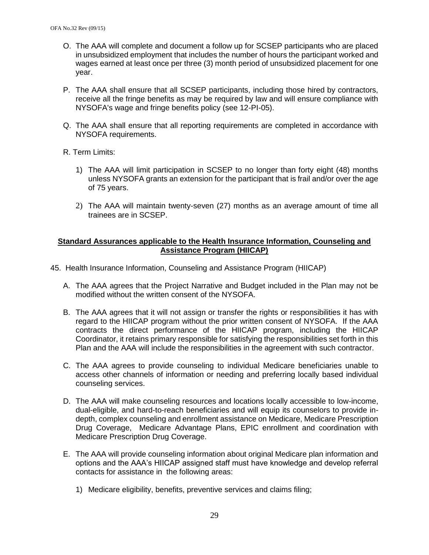- O. The AAA will complete and document a follow up for SCSEP participants who are placed in unsubsidized employment that includes the number of hours the participant worked and wages earned at least once per three (3) month period of unsubsidized placement for one year.
- P. The AAA shall ensure that all SCSEP participants, including those hired by contractors, receive all the fringe benefits as may be required by law and will ensure compliance with NYSOFA's wage and fringe benefits policy (see 12-PI-05).
- Q. The AAA shall ensure that all reporting requirements are completed in accordance with NYSOFA requirements.
- R. Term Limits:
	- 1) The AAA will limit participation in SCSEP to no longer than forty eight (48) months unless NYSOFA grants an extension for the participant that is frail and/or over the age of 75 years.
	- 2) The AAA will maintain twenty-seven (27) months as an average amount of time all trainees are in SCSEP.

### **Standard Assurances applicable to the Health Insurance Information, Counseling and Assistance Program (HIICAP)**

- 45. Health Insurance Information, Counseling and Assistance Program (HIICAP)
	- A. The AAA agrees that the Project Narrative and Budget included in the Plan may not be modified without the written consent of the NYSOFA.
	- B. The AAA agrees that it will not assign or transfer the rights or responsibilities it has with regard to the HIICAP program without the prior written consent of NYSOFA. If the AAA contracts the direct performance of the HIICAP program, including the HIICAP Coordinator, it retains primary responsible for satisfying the responsibilities set forth in this Plan and the AAA will include the responsibilities in the agreement with such contractor.
	- C. The AAA agrees to provide counseling to individual Medicare beneficiaries unable to access other channels of information or needing and preferring locally based individual counseling services.
	- D. The AAA will make counseling resources and locations locally accessible to low-income, dual-eligible, and hard-to-reach beneficiaries and will equip its counselors to provide indepth, complex counseling and enrollment assistance on Medicare, Medicare Prescription Drug Coverage, Medicare Advantage Plans, EPIC enrollment and coordination with Medicare Prescription Drug Coverage.
	- E. The AAA will provide counseling information about original Medicare plan information and options and the AAA's HIICAP assigned staff must have knowledge and develop referral contacts for assistance in the following areas:
		- 1) Medicare eligibility, benefits, preventive services and claims filing;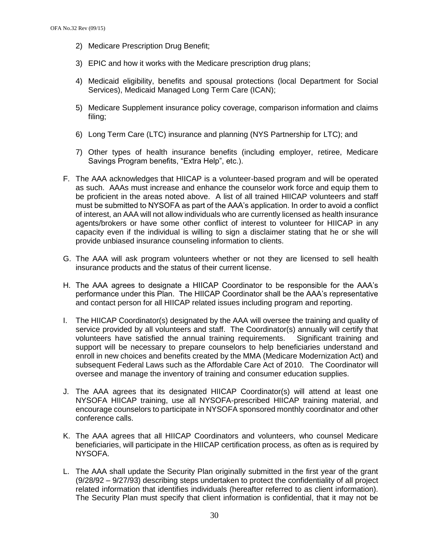- 2) Medicare Prescription Drug Benefit;
- 3) EPIC and how it works with the Medicare prescription drug plans;
- 4) Medicaid eligibility, benefits and spousal protections (local Department for Social Services), Medicaid Managed Long Term Care (ICAN);
- 5) Medicare Supplement insurance policy coverage, comparison information and claims filing;
- 6) Long Term Care (LTC) insurance and planning (NYS Partnership for LTC); and
- 7) Other types of health insurance benefits (including employer, retiree, Medicare Savings Program benefits, "Extra Help", etc.).
- F. The AAA acknowledges that HIICAP is a volunteer-based program and will be operated as such. AAAs must increase and enhance the counselor work force and equip them to be proficient in the areas noted above. A list of all trained HIICAP volunteers and staff must be submitted to NYSOFA as part of the AAA's application. In order to avoid a conflict of interest, an AAA will not allow individuals who are currently licensed as health insurance agents/brokers or have some other conflict of interest to volunteer for HIICAP in any capacity even if the individual is willing to sign a disclaimer stating that he or she will provide unbiased insurance counseling information to clients.
- G. The AAA will ask program volunteers whether or not they are licensed to sell health insurance products and the status of their current license.
- H. The AAA agrees to designate a HIICAP Coordinator to be responsible for the AAA's performance under this Plan. The HIICAP Coordinator shall be the AAA's representative and contact person for all HIICAP related issues including program and reporting.
- I. The HIICAP Coordinator(s) designated by the AAA will oversee the training and quality of service provided by all volunteers and staff. The Coordinator(s) annually will certify that volunteers have satisfied the annual training requirements. Significant training and support will be necessary to prepare counselors to help beneficiaries understand and enroll in new choices and benefits created by the MMA (Medicare Modernization Act) and subsequent Federal Laws such as the Affordable Care Act of 2010. The Coordinator will oversee and manage the inventory of training and consumer education supplies.
- J. The AAA agrees that its designated HIICAP Coordinator(s) will attend at least one NYSOFA HIICAP training, use all NYSOFA-prescribed HIICAP training material, and encourage counselors to participate in NYSOFA sponsored monthly coordinator and other conference calls.
- K. The AAA agrees that all HIICAP Coordinators and volunteers, who counsel Medicare beneficiaries, will participate in the HIICAP certification process, as often as is required by NYSOFA.
- L. The AAA shall update the Security Plan originally submitted in the first year of the grant (9/28/92 – 9/27/93) describing steps undertaken to protect the confidentiality of all project related information that identifies individuals (hereafter referred to as client information). The Security Plan must specify that client information is confidential, that it may not be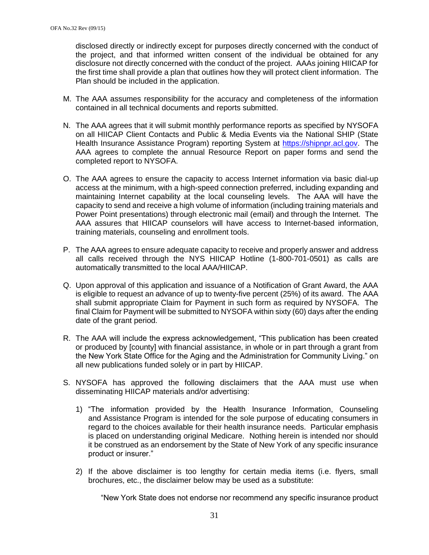disclosed directly or indirectly except for purposes directly concerned with the conduct of the project, and that informed written consent of the individual be obtained for any disclosure not directly concerned with the conduct of the project. AAAs joining HIICAP for the first time shall provide a plan that outlines how they will protect client information. The Plan should be included in the application.

- M. The AAA assumes responsibility for the accuracy and completeness of the information contained in all technical documents and reports submitted.
- N. The AAA agrees that it will submit monthly performance reports as specified by NYSOFA on all HIICAP Client Contacts and Public & Media Events via the National SHIP (State Health Insurance Assistance Program) reporting System at [https://shipnpr.acl.gov.](https://shipnpr.acl.gov/) The AAA agrees to complete the annual Resource Report on paper forms and send the completed report to NYSOFA.
- O. The AAA agrees to ensure the capacity to access Internet information via basic dial-up access at the minimum, with a high-speed connection preferred, including expanding and maintaining Internet capability at the local counseling levels. The AAA will have the capacity to send and receive a high volume of information (including training materials and Power Point presentations) through electronic mail (email) and through the Internet. The AAA assures that HIICAP counselors will have access to Internet-based information, training materials, counseling and enrollment tools.
- P. The AAA agrees to ensure adequate capacity to receive and properly answer and address all calls received through the NYS HIICAP Hotline (1-800-701-0501) as calls are automatically transmitted to the local AAA/HIICAP.
- Q. Upon approval of this application and issuance of a Notification of Grant Award, the AAA is eligible to request an advance of up to twenty-five percent (25%) of its award. The AAA shall submit appropriate Claim for Payment in such form as required by NYSOFA. The final Claim for Payment will be submitted to NYSOFA within sixty (60) days after the ending date of the grant period.
- R. The AAA will include the express acknowledgement, "This publication has been created or produced by [county] with financial assistance, in whole or in part through a grant from the New York State Office for the Aging and the Administration for Community Living." on all new publications funded solely or in part by HIICAP.
- S. NYSOFA has approved the following disclaimers that the AAA must use when disseminating HIICAP materials and/or advertising:
	- 1) "The information provided by the Health Insurance Information, Counseling and Assistance Program is intended for the sole purpose of educating consumers in regard to the choices available for their health insurance needs. Particular emphasis is placed on understanding original Medicare. Nothing herein is intended nor should it be construed as an endorsement by the State of New York of any specific insurance product or insurer."
	- 2) If the above disclaimer is too lengthy for certain media items (i.e. flyers, small brochures, etc., the disclaimer below may be used as a substitute:

"New York State does not endorse nor recommend any specific insurance product